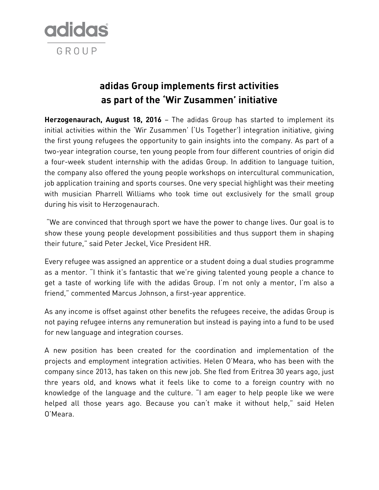

# **adidas Group implements first activities as part of the 'Wir Zusammen' initiative**

**Herzogenaurach, August 18, 2016** – The adidas Group has started to implement its initial activities within the 'Wir Zusammen' ('Us Together') integration initiative, giving the first young refugees the opportunity to gain insights into the company. As part of a two-year integration course, ten young people from four different countries of origin did a four-week student internship with the adidas Group. In addition to language tuition, the company also offered the young people workshops on intercultural communication, job application training and sports courses. One very special highlight was their meeting with musician Pharrell Williams who took time out exclusively for the small group during his visit to Herzogenaurach.

"We are convinced that through sport we have the power to change lives. Our goal is to show these young people development possibilities and thus support them in shaping their future," said Peter Jeckel, Vice President HR.

Every refugee was assigned an apprentice or a student doing a dual studies programme as a mentor. "I think it's fantastic that we're giving talented young people a chance to get a taste of working life with the adidas Group. I'm not only a mentor, I'm also a friend," commented Marcus Johnson, a first-year apprentice.

As any income is offset against other benefits the refugees receive, the adidas Group is not paying refugee interns any remuneration but instead is paying into a fund to be used for new language and integration courses.

A new position has been created for the coordination and implementation of the projects and employment integration activities. Helen O'Meara, who has been with the company since 2013, has taken on this new job. She fled from Eritrea 30 years ago, just thre years old, and knows what it feels like to come to a foreign country with no knowledge of the language and the culture. "I am eager to help people like we were helped all those years ago. Because you can't make it without help," said Helen O'Meara.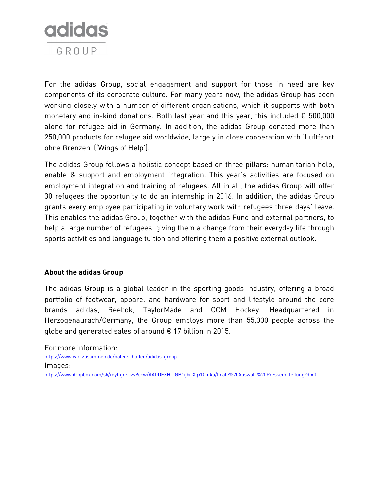

For the adidas Group, social engagement and support for those in need are key components of its corporate culture. For many years now, the adidas Group has been working closely with a number of different organisations, which it supports with both monetary and in-kind donations. Both last year and this year, this included  $\epsilon$  500,000 alone for refugee aid in Germany. In addition, the adidas Group donated more than 250,000 products for refugee aid worldwide, largely in close cooperation with 'Luftfahrt ohne Grenzen' ('Wings of Help').

The adidas Group follows a holistic concept based on three pillars: humanitarian help, enable & support and employment integration. This year's activities are focused on employment integration and training of refugees. All in all, the adidas Group will offer 30 refugees the opportunity to do an internship in 2016. In addition, the adidas Group grants every employee participating in voluntary work with refugees three days' leave. This enables the adidas Group, together with the adidas Fund and external partners, to help a large number of refugees, giving them a change from their everyday life through sports activities and language tuition and offering them a positive external outlook.

## **About the adidas Group**

The adidas Group is a global leader in the sporting goods industry, offering a broad portfolio of footwear, apparel and hardware for sport and lifestyle around the core brands adidas, Reebok, TaylorMade and CCM Hockey. Headquartered in Herzogenaurach/Germany, the Group employs more than 55,000 people across the globe and generated sales of around € 17 billion in 2015.

For more information:

<https://www.wir-zusammen.de/patenschaften/adidas-group>

Images:

<https://www.dropbox.com/sh/myttgrisczv9ucw/AADDFXH-cGB1ijbicXqYDLnka/finale%20Auswahl%20Pressemitteilung?dl=0>